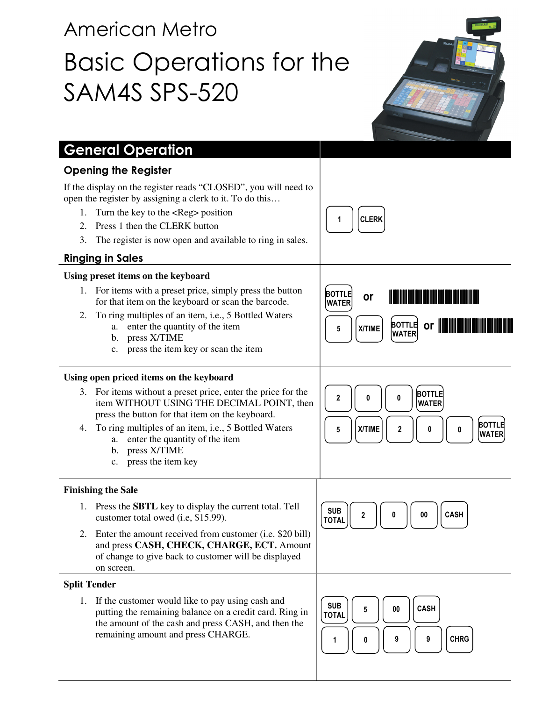# American Metro Basic Operations for the SAM4S SPS-520



| <b>General Operation</b>                                                                                                                                                                                                                                                                                                |                                                                                                                                                  |
|-------------------------------------------------------------------------------------------------------------------------------------------------------------------------------------------------------------------------------------------------------------------------------------------------------------------------|--------------------------------------------------------------------------------------------------------------------------------------------------|
| <b>Opening the Register</b>                                                                                                                                                                                                                                                                                             |                                                                                                                                                  |
| If the display on the register reads "CLOSED", you will need to<br>open the register by assigning a clerk to it. To do this<br>Turn the key to the <reg> position<br/>1.<br/>Press 1 then the CLERK button<br/>2.<br/>3.<br/>The register is now open and available to ring in sales.<br/><b>Ringing in Sales</b></reg> | <b>CLERK</b>                                                                                                                                     |
| Using preset items on the keyboard                                                                                                                                                                                                                                                                                      |                                                                                                                                                  |
| 1. For items with a preset price, simply press the button<br>for that item on the keyboard or scan the barcode.<br>To ring multiples of an item, i.e., 5 Bottled Waters<br>2.<br>enter the quantity of the item<br>a.<br>press X/TIME<br>b.<br>press the item key or scan the item<br>c.                                | <b>BOTTLE</b><br>or<br><u> III dhexaa isku marka marka m</u><br><b>WATER</b><br>or <b>Inning</b><br><b>BOTTLE</b><br>X/TIME<br>5<br><b>WATER</b> |
| Using open priced items on the keyboard                                                                                                                                                                                                                                                                                 |                                                                                                                                                  |
| 3. For items without a preset price, enter the price for the<br>item WITHOUT USING THE DECIMAL POINT, then<br>press the button for that item on the keyboard.<br>To ring multiples of an item, i.e., 5 Bottled Waters<br>4.<br>enter the quantity of the item<br>a.<br>press X/TIME<br>b.<br>press the item key<br>c.   | <b>BOTTLE</b><br>$\mathbf{2}$<br>0<br>0<br><b>WATER</b><br><b>BOTTLE</b><br>X/TIME<br>2<br>5<br>0<br>0<br><b>WATER</b>                           |
| <b>Finishing the Sale</b>                                                                                                                                                                                                                                                                                               |                                                                                                                                                  |
| 1. Press the <b>SBTL</b> key to display the current total. Tell<br>customer total owed (i.e, \$15.99).<br>2. Enter the amount received from customer (i.e. \$20 bill)<br>and press CASH, CHECK, CHARGE, ECT. Amount<br>of change to give back to customer will be displayed<br>on screen.                               | <b>SUB</b><br><b>CASH</b><br>$\bf{00}$<br>2<br>0<br><b>TOTAL</b>                                                                                 |
| <b>Split Tender</b>                                                                                                                                                                                                                                                                                                     |                                                                                                                                                  |
| 1. If the customer would like to pay using cash and<br>putting the remaining balance on a credit card. Ring in<br>the amount of the cash and press CASH, and then the<br>remaining amount and press CHARGE.                                                                                                             | <b>SUB</b><br><b>CASH</b><br>$\bf{00}$<br>5<br><b>TOTAL</b><br><b>CHRG</b><br>9<br>9<br>0<br>1                                                   |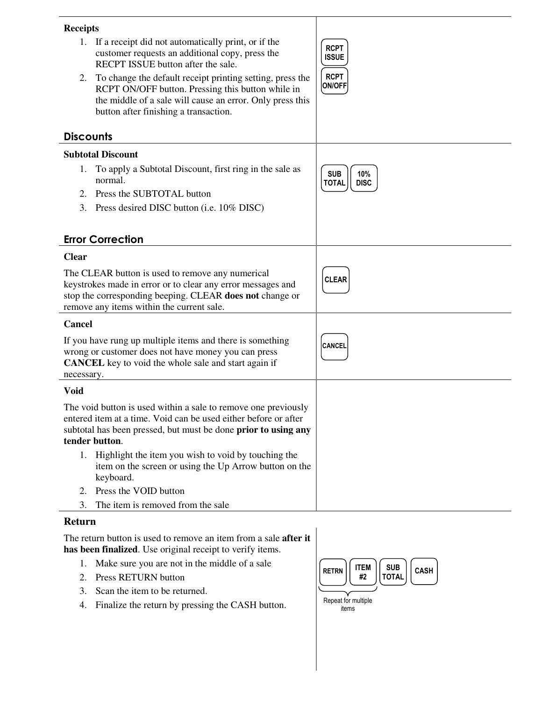| <b>Receipts</b>                                                                                                                                                                                                          |                                                                                                                                                                                                                      |                                                  |
|--------------------------------------------------------------------------------------------------------------------------------------------------------------------------------------------------------------------------|----------------------------------------------------------------------------------------------------------------------------------------------------------------------------------------------------------------------|--------------------------------------------------|
|                                                                                                                                                                                                                          | 1. If a receipt did not automatically print, or if the<br>customer requests an additional copy, press the<br>RECPT ISSUE button after the sale.                                                                      | <b>RCPT</b><br><b>ISSUE</b>                      |
| 2.                                                                                                                                                                                                                       | To change the default receipt printing setting, press the<br>RCPT ON/OFF button. Pressing this button while in<br>the middle of a sale will cause an error. Only press this<br>button after finishing a transaction. | <b>RCPT</b><br><b>ON/OFF</b>                     |
| <b>Discounts</b>                                                                                                                                                                                                         |                                                                                                                                                                                                                      |                                                  |
|                                                                                                                                                                                                                          | <b>Subtotal Discount</b>                                                                                                                                                                                             |                                                  |
|                                                                                                                                                                                                                          | 1. To apply a Subtotal Discount, first ring in the sale as<br>normal.                                                                                                                                                | <b>SUB</b><br>10%<br><b>TOTAL</b><br><b>DISC</b> |
| 2.                                                                                                                                                                                                                       | Press the SUBTOTAL button                                                                                                                                                                                            |                                                  |
| 3.                                                                                                                                                                                                                       | Press desired DISC button (i.e. 10% DISC)                                                                                                                                                                            |                                                  |
|                                                                                                                                                                                                                          |                                                                                                                                                                                                                      |                                                  |
|                                                                                                                                                                                                                          | <b>Error Correction</b>                                                                                                                                                                                              |                                                  |
| <b>Clear</b>                                                                                                                                                                                                             |                                                                                                                                                                                                                      |                                                  |
| The CLEAR button is used to remove any numerical<br>keystrokes made in error or to clear any error messages and<br>stop the corresponding beeping. CLEAR does not change or<br>remove any items within the current sale. |                                                                                                                                                                                                                      | <b>CLEAR</b>                                     |
| Cancel                                                                                                                                                                                                                   |                                                                                                                                                                                                                      |                                                  |
| If you have rung up multiple items and there is something<br>wrong or customer does not have money you can press<br><b>CANCEL</b> key to void the whole sale and start again if<br>necessary.                            |                                                                                                                                                                                                                      | <b>CANCEL</b>                                    |
| <b>Void</b>                                                                                                                                                                                                              |                                                                                                                                                                                                                      |                                                  |
| The void button is used within a sale to remove one previously<br>entered item at a time. Void can be used either before or after<br>subtotal has been pressed, but must be done prior to using any<br>tender button.    |                                                                                                                                                                                                                      |                                                  |
|                                                                                                                                                                                                                          | 1. Highlight the item you wish to void by touching the<br>item on the screen or using the Up Arrow button on the<br>keyboard.                                                                                        |                                                  |
| 2.                                                                                                                                                                                                                       | Press the VOID button                                                                                                                                                                                                |                                                  |
| 3.                                                                                                                                                                                                                       | The item is removed from the sale                                                                                                                                                                                    |                                                  |
| D                                                                                                                                                                                                                        |                                                                                                                                                                                                                      |                                                  |

#### **Return**

The return button is used to remove an item from a sale **after it has been finalized**. Use original receipt to verify items.

- 1. Make sure you are not in the middle of a sale
- 2. Press RETURN button
- 3. Scan the item to be returned.
- 4. Finalize the return by pressing the CASH button.

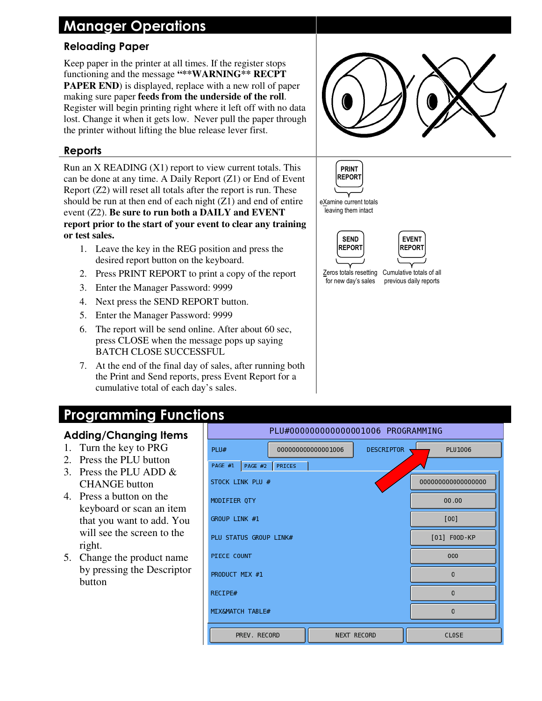## Manager Operations

### Reloading Paper

Keep paper in the printer at all times. If the register stops functioning and the message **"\*\*WARNING\*\* RECPT PAPER END**) is displayed, replace with a new roll of paper making sure paper **feeds from the underside of the roll**. Register will begin printing right where it left off with no data lost. Change it when it gets low. Never pull the paper through the printer without lifting the blue release lever first.



#### Reports

Run an  $X$  READING  $(X1)$  report to view current totals. This can be done at any time. A Daily Report (Z1) or End of Event Report (Z2) will reset all totals after the report is run. These should be run at then end of each night (Z1) and end of entire event (Z2). **Be sure to run both a DAILY and EVENT report prior to the start of your event to clear any training or test sales.**

- 1. Leave the key in the REG position and press the desired report button on the keyboard.
- 2. Press PRINT REPORT to print a copy of the report
- 3. Enter the Manager Password: 9999
- 4. Next press the SEND REPORT button.
- 5. Enter the Manager Password: 9999
- 6. The report will be send online. After about 60 sec, press CLOSE when the message pops up saying BATCH CLOSE SUCCESSFUL
- 7. At the end of the final day of sales, after running both the Print and Send reports, press Event Report for a cumulative total of each day's sales.







for new day's sales

Zeros totals resetting Cumulative totals of all previous daily reports

## Programming Functions

#### Adding/Changing Items

- 1. Turn the key to PRG
- 2. Press the PLU button
- 3. Press the PLU ADD & CHANGE button
- 4. Press a button on the keyboard or scan an item that you want to add. You will see the screen to the right.
- 5. Change the product name by pressing the Descriptor button

| PLU#000000000000001006 PROGRAMMING     |                                         |  |          |  |  |  |  |
|----------------------------------------|-----------------------------------------|--|----------|--|--|--|--|
| PLU#                                   | <b>DESCRIPTOR</b><br>000000000000001006 |  | PLU1006  |  |  |  |  |
| PAGE #1                                | PAGE #2   PRICES                        |  |          |  |  |  |  |
| 00000000000000000<br>STOCK LINK PLU #  |                                         |  |          |  |  |  |  |
| 00.00<br>MODIFIER QTY                  |                                         |  |          |  |  |  |  |
| GROUP LINK #1                          | [00]                                    |  |          |  |  |  |  |
| [01] F00D-KP<br>PLU STATUS GROUP LINK# |                                         |  |          |  |  |  |  |
| PIECE COUNT                            | 000                                     |  |          |  |  |  |  |
| PRODUCT MIX #1                         | $\mathbf 0$                             |  |          |  |  |  |  |
| RECIPE#                                | $\Omega$                                |  |          |  |  |  |  |
| MIX&MATCH TABLE#                       |                                         |  | $\Omega$ |  |  |  |  |
| PREV. RECORD                           | NEXT RECORD                             |  | CLOSE    |  |  |  |  |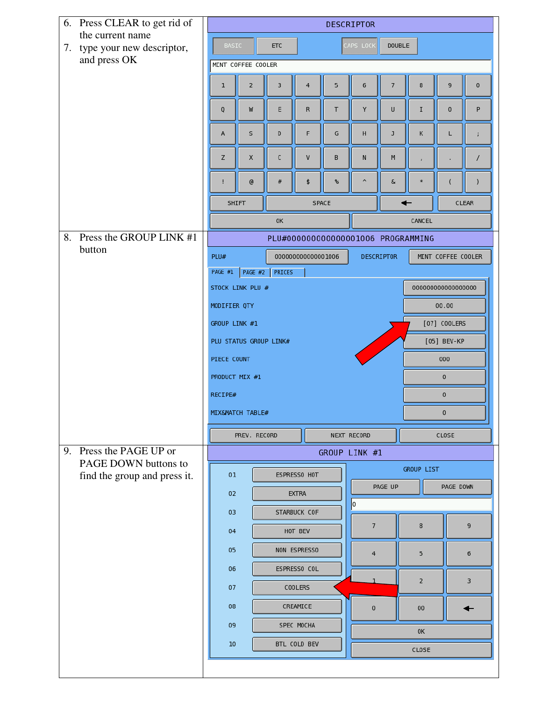| 6. Press CLEAR to get rid of                     |                                                                                              | <b>DESCRIPTOR</b>                                        |             |                    |    |                       |                   |                                     |                    |                |  |
|--------------------------------------------------|----------------------------------------------------------------------------------------------|----------------------------------------------------------|-------------|--------------------|----|-----------------------|-------------------|-------------------------------------|--------------------|----------------|--|
| the current name<br>7. type your new descriptor, |                                                                                              | <b>BASIC</b><br>CAPS LOCK<br><b>DOUBLE</b><br><b>ETC</b> |             |                    |    |                       |                   |                                     |                    |                |  |
| and press OK                                     | MINT COFFEE COOLER                                                                           |                                                          |             |                    |    |                       |                   |                                     |                    |                |  |
|                                                  | 1                                                                                            | 2                                                        | 3           | 4                  | 5  | 6                     | $\overline{7}$    | 8                                   | 9                  | $\pmb{0}$      |  |
|                                                  | Q                                                                                            | W                                                        | E           | ${\sf R}$          | T  | Υ                     | U                 | $\mathbf I$                         | $\pmb{0}$          | P              |  |
|                                                  | Α                                                                                            | S                                                        | D           | F                  | G  | н                     | J                 | Κ                                   | L                  |                |  |
|                                                  | Z                                                                                            | X                                                        | $\mathsf C$ | V                  | B  | N                     | M                 |                                     |                    |                |  |
|                                                  |                                                                                              | $^\copyright$                                            | $\#$        | \$                 | ℁  | $\boldsymbol{\wedge}$ | $\pmb{\delta}$    | $\ast$                              |                    | $\lambda$      |  |
|                                                  |                                                                                              | <b>SHIFT</b><br>SPACE                                    |             |                    |    |                       |                   | $\leftarrow$<br><b>CLEAR</b>        |                    |                |  |
|                                                  |                                                                                              |                                                          | 0K          |                    |    |                       |                   | CANCEL                              |                    |                |  |
| 8. Press the GROUP LINK #1<br>button             |                                                                                              |                                                          |             |                    |    |                       |                   | PLU#0000000000000001006 PROGRAMMING |                    |                |  |
|                                                  | PLU#                                                                                         |                                                          |             | 000000000000001006 |    |                       | <b>DESCRIPTOR</b> |                                     | MINT COFFEE COOLER |                |  |
|                                                  | PAGE #1                                                                                      | PAGE #2                                                  | PRICES      |                    |    |                       |                   |                                     |                    |                |  |
|                                                  | STOCK LINK PLU #<br>00000000000000000<br>00.00<br>MODIFIER QTY                               |                                                          |             |                    |    |                       |                   |                                     |                    |                |  |
|                                                  |                                                                                              |                                                          |             |                    |    |                       |                   |                                     |                    |                |  |
|                                                  | GROUP LINK #1<br>[07] COOLERS<br>[05] BEV-KP<br>PLU STATUS GROUP LINK#<br>PIECE COUNT<br>000 |                                                          |             |                    |    |                       |                   |                                     |                    |                |  |
|                                                  |                                                                                              |                                                          |             |                    |    |                       |                   |                                     |                    |                |  |
|                                                  |                                                                                              | PRODUCT MIX #1<br>$\mathbf 0$<br>0<br>RECIPE#            |             |                    |    |                       |                   |                                     |                    |                |  |
|                                                  |                                                                                              |                                                          |             |                    |    |                       |                   |                                     |                    |                |  |
|                                                  | MIX&MATCH TABLE#                                                                             |                                                          |             |                    |    |                       |                   | $\mathbf{0}$                        |                    |                |  |
|                                                  |                                                                                              | PREV. RECORD                                             |             |                    |    | NEXT RECORD           |                   | CLOSE                               |                    |                |  |
| 9. Press the PAGE UP or<br>PAGE DOWN buttons to  |                                                                                              |                                                          |             |                    |    | GROUP LINK #1         |                   |                                     |                    |                |  |
| find the group and press it.                     | 01                                                                                           |                                                          |             | ESPRESSO HOT       |    | <b>GROUP LIST</b>     |                   |                                     |                    |                |  |
|                                                  | 02                                                                                           |                                                          |             | <b>EXTRA</b>       |    | PAGE UP<br>PAGE DOWN  |                   |                                     |                    |                |  |
|                                                  | 03                                                                                           |                                                          |             | STARBUCK COF       |    | lо                    |                   |                                     |                    |                |  |
|                                                  |                                                                                              | 04<br>HOT BEV<br>05<br>NON ESPRESSO                      |             |                    |    | $\overline{7}$        |                   | 8                                   |                    | 9              |  |
|                                                  |                                                                                              |                                                          |             |                    |    | $\overline{4}$        |                   | 5                                   |                    | $6\phantom{1}$ |  |
|                                                  | 06<br>ESPRESSO COL<br>07<br><b>COOLERS</b>                                                   |                                                          |             |                    |    |                       | $\overline{2}$    |                                     | 3                  |                |  |
|                                                  | 08                                                                                           | CREAMICE                                                 |             |                    |    | $\mathbf{0}$          |                   | $00\,$                              |                    | ←              |  |
|                                                  | 09<br>SPEC MOCHA                                                                             |                                                          |             |                    | 0K |                       |                   |                                     |                    |                |  |
|                                                  | BTL COLD BEV<br>10                                                                           |                                                          |             |                    |    | CLOSE                 |                   |                                     |                    |                |  |
|                                                  |                                                                                              |                                                          |             |                    |    |                       |                   |                                     |                    |                |  |